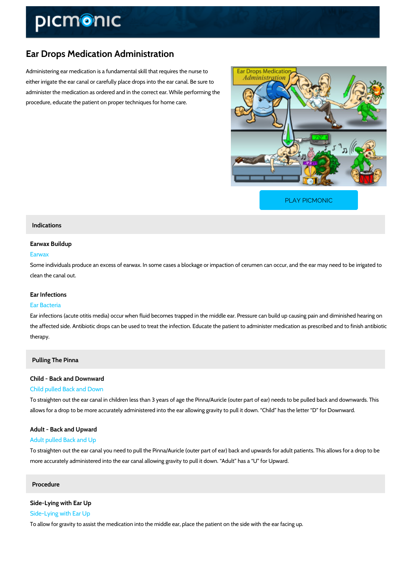# Ear Drops Medication Administration

Administering ear medication is a fundamental skill that requires the nurse to either irrigate the ear canal or carefully place drops into the ear canal. Be sure to administer the medication as ordered and in the correct ear. While performing the procedure, educate the patient on proper techniques for home care.

[PLAY PICMONIC](https://www.picmonic.com/learn/ear-drops-medication-administration_1549?utm_source=downloadable_content&utm_medium=distributedcontent&utm_campaign=pathways_pdf&utm_content=Ear Drops Medication Administration&utm_ad_group=leads&utm_market=all)

## Indications

### Earwax Buildup

### Earwax

Some individuals produce an excess of earwax. In some cases a blockage or impaction of ceru clean the canal out.

### Ear Infections

#### Ear Bacteria

Ear infections (acute otitis media) occur when fluid becomes trapped in the middle ear. Press the affected side. Antibiotic drops can be used to treat the infection. Educate the patient to a therapy.

## Pulling The Pinna

# Child - Back and Downward Child pulled Back and Down

To straighten out the ear canal in children less than 3 years of age the Pinna/Auricle (outer p allows for a drop to be more accurately administered into the ear allowing gravity to pull it do

# Adult - Back and Upward Adult pulled Back and Up

To straighten out the ear canal you need to pull the Pinna/Auricle (outer part of ear) back and more accurately administered into the ear canal allowing gravity to pull it down. Adult has a

## Procedure

# Side-Lying with Ear Up

Side-Lying with Ear Up

To allow for gravity to assist the medication into the middle ear, place the patient on the side